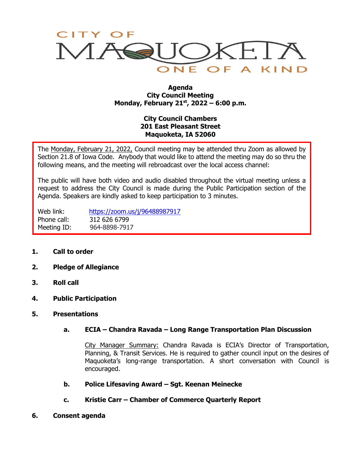

#### **Agenda City Council Meeting Monday, February 21st, 2022 – 6:00 p.m.**

# **City Council Chambers 201 East Pleasant Street Maquoketa, IA 52060**

The Monday, February 21, 2022, Council meeting may be attended thru Zoom as allowed by Section 21.8 of Iowa Code. Anybody that would like to attend the meeting may do so thru the following means, and the meeting will rebroadcast over the local access channel:

The public will have both video and audio disabled throughout the virtual meeting unless a request to address the City Council is made during the Public Participation section of the Agenda. Speakers are kindly asked to keep participation to 3 minutes.

Web link: <https://zoom.us/j/96488987917> Phone call: 312 626 6799 Meeting ID: 964-8898-7917

- **1. Call to order**
- **2. Pledge of Allegiance**
- **3. Roll call**
- **4. Public Participation**
- **5. Presentations**

### **a. ECIA – Chandra Ravada – Long Range Transportation Plan Discussion**

City Manager Summary: Chandra Ravada is ECIA's Director of Transportation, Planning, & Transit Services. He is required to gather council input on the desires of Maquoketa's long-range transportation. A short conversation with Council is encouraged.

- **b. Police Lifesaving Award – Sgt. Keenan Meinecke**
- **c. Kristie Carr – Chamber of Commerce Quarterly Report**
- **6. Consent agenda**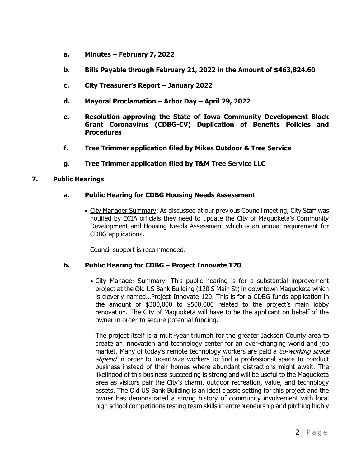- **a. Minutes – February 7, 2022**
- **b. Bills Payable through February 21, 2022 in the Amount of \$463,824.60**
- **c. City Treasurer's Report – January 2022**
- **d. Mayoral Proclamation – Arbor Day – April 29, 2022**
- **e. Resolution approving the State of Iowa Community Development Block Grant Coronavirus (CDBG-CV) Duplication of Benefits Policies and Procedures**
- **f. Tree Trimmer application filed by Mikes Outdoor & Tree Service**
- **g. Tree Trimmer application filed by T&M Tree Service LLC**

### **7. Public Hearings**

### **a. Public Hearing for CDBG Housing Needs Assessment**

• City Manager Summary: As discussed at our previous Council meeting, City Staff was notified by ECIA officials they need to update the City of Maquoketa's Community Development and Housing Needs Assessment which is an annual requirement for CDBG applications.

Council support is recommended.

# **b. Public Hearing for CDBG – Project Innovate 120**

• City Manager Summary: This public hearing is for a substantial improvement project at the Old US Bank Building (120 S Main St) in downtown Maquoketa which is cleverly named…Project Innovate 120. This is for a CDBG funds application in the amount of \$300,000 to \$500,000 related to the project's main lobby renovation. The City of Maquoketa will have to be the applicant on behalf of the owner in order to secure potential funding.

The project itself is a multi-year triumph for the greater Jackson County area to create an innovation and technology center for an ever-changing world and job market. Many of today's remote technology workers are paid a co-working space stipend in order to incentivize workers to find a professional space to conduct business instead of their homes where abundant distractions might await. The likelihood of this business succeeding is strong and will be useful to the Maquoketa area as visitors pair the City's charm, outdoor recreation, value, and technology assets. The Old US Bank Building is an ideal classic setting for this project and the owner has demonstrated a strong history of community involvement with local high school competitions testing team skills in entrepreneurship and pitching highly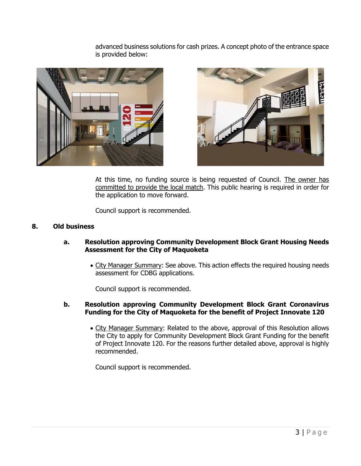advanced business solutions for cash prizes. A concept photo of the entrance space is provided below:





At this time, no funding source is being requested of Council. The owner has committed to provide the local match. This public hearing is required in order for the application to move forward.

Council support is recommended.

### **8. Old business**

#### **a. Resolution approving Community Development Block Grant Housing Needs Assessment for the City of Maquoketa**

• City Manager Summary: See above. This action effects the required housing needs assessment for CDBG applications.

Council support is recommended.

### **b. Resolution approving Community Development Block Grant Coronavirus Funding for the City of Maquoketa for the benefit of Project Innovate 120**

• City Manager Summary: Related to the above, approval of this Resolution allows the City to apply for Community Development Block Grant Funding for the benefit of Project Innovate 120. For the reasons further detailed above, approval is highly recommended.

Council support is recommended.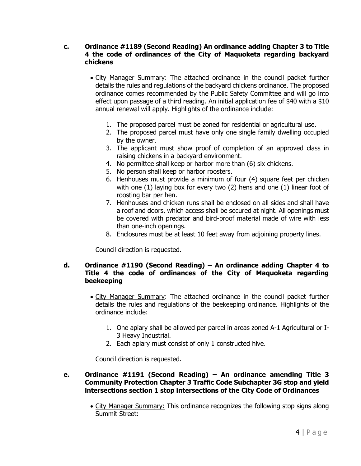## **c. Ordinance #1189 (Second Reading) An ordinance adding Chapter 3 to Title 4 the code of ordinances of the City of Maquoketa regarding backyard chickens**

- City Manager Summary: The attached ordinance in the council packet further details the rules and regulations of the backyard chickens ordinance. The proposed ordinance comes recommended by the Public Safety Committee and will go into effect upon passage of a third reading. An initial application fee of \$40 with a \$10 annual renewal will apply. Highlights of the ordinance include:
	- 1. The proposed parcel must be zoned for residential or agricultural use.
	- 2. The proposed parcel must have only one single family dwelling occupied by the owner.
	- 3. The applicant must show proof of completion of an approved class in raising chickens in a backyard environment.
	- 4. No permittee shall keep or harbor more than (6) six chickens.
	- 5. No person shall keep or harbor roosters.
	- 6. Henhouses must provide a minimum of four (4) square feet per chicken with one (1) laying box for every two (2) hens and one (1) linear foot of roosting bar per hen.
	- 7. Henhouses and chicken runs shall be enclosed on all sides and shall have a roof and doors, which access shall be secured at night. All openings must be covered with predator and bird-proof material made of wire with less than one-inch openings.
	- 8. Enclosures must be at least 10 feet away from adjoining property lines.

Council direction is requested.

## **d. Ordinance #1190 (Second Reading) – An ordinance adding Chapter 4 to Title 4 the code of ordinances of the City of Maquoketa regarding beekeeping**

- City Manager Summary: The attached ordinance in the council packet further details the rules and regulations of the beekeeping ordinance. Highlights of the ordinance include:
	- 1. One apiary shall be allowed per parcel in areas zoned A-1 Agricultural or I-3 Heavy Industrial.
	- 2. Each apiary must consist of only 1 constructed hive.

Council direction is requested.

### **e. Ordinance #1191 (Second Reading) – An ordinance amending Title 3 Community Protection Chapter 3 Traffic Code Subchapter 3G stop and yield intersections section 1 stop intersections of the City Code of Ordinances**

• City Manager Summary: This ordinance recognizes the following stop signs along Summit Street: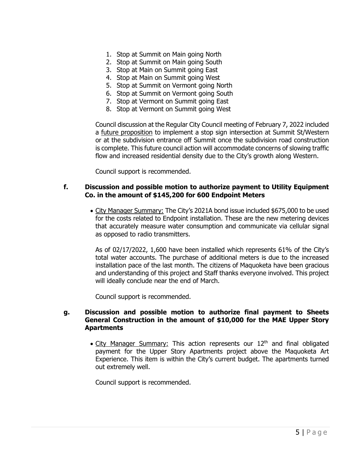- 1. Stop at Summit on Main going North
- 2. Stop at Summit on Main going South
- 3. Stop at Main on Summit going East
- 4. Stop at Main on Summit going West
- 5. Stop at Summit on Vermont going North
- 6. Stop at Summit on Vermont going South
- 7. Stop at Vermont on Summit going East
- 8. Stop at Vermont on Summit going West

Council discussion at the Regular City Council meeting of February 7, 2022 included a future proposition to implement a stop sign intersection at Summit St/Western or at the subdivision entrance off Summit once the subdivision road construction is complete. This future council action will accommodate concerns of slowing traffic flow and increased residential density due to the City's growth along Western.

Council support is recommended.

### **f. Discussion and possible motion to authorize payment to Utility Equipment Co. in the amount of \$145,200 for 600 Endpoint Meters**

• City Manager Summary: The City's 2021A bond issue included \$675,000 to be used for the costs related to Endpoint installation. These are the new metering devices that accurately measure water consumption and communicate via cellular signal as opposed to radio transmitters.

As of 02/17/2022, 1,600 have been installed which represents 61% of the City's total water accounts. The purchase of additional meters is due to the increased installation pace of the last month. The citizens of Maquoketa have been gracious and understanding of this project and Staff thanks everyone involved. This project will ideally conclude near the end of March.

Council support is recommended.

### **g. Discussion and possible motion to authorize final payment to Sheets General Construction in the amount of \$10,000 for the MAE Upper Story Apartments**

• City Manager Summary: This action represents our  $12<sup>th</sup>$  and final obligated payment for the Upper Story Apartments project above the Maquoketa Art Experience. This item is within the City's current budget. The apartments turned out extremely well.

Council support is recommended.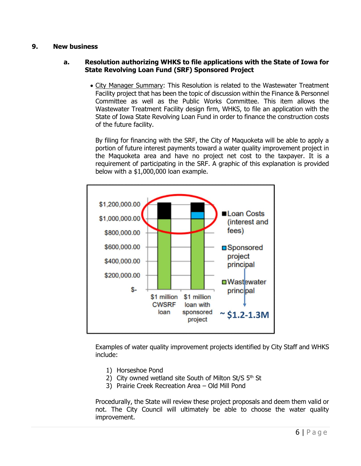## **9. New business**

## **a. Resolution authorizing WHKS to file applications with the State of Iowa for State Revolving Loan Fund (SRF) Sponsored Project**

• City Manager Summary: This Resolution is related to the Wastewater Treatment Facility project that has been the topic of discussion within the Finance & Personnel Committee as well as the Public Works Committee. This item allows the Wastewater Treatment Facility design firm, WHKS, to file an application with the State of Iowa State Revolving Loan Fund in order to finance the construction costs of the future facility.

By filing for financing with the SRF, the City of Maquoketa will be able to apply a portion of future interest payments toward a water quality improvement project in the Maquoketa area and have no project net cost to the taxpayer. It is a requirement of participating in the SRF. A graphic of this explanation is provided below with a \$1,000,000 loan example.



Examples of water quality improvement projects identified by City Staff and WHKS include:

- 1) Horseshoe Pond
- 2) City owned wetland site South of Milton St/S  $5<sup>th</sup>$  St
- 3) Prairie Creek Recreation Area Old Mill Pond

Procedurally, the State will review these project proposals and deem them valid or not. The City Council will ultimately be able to choose the water quality improvement.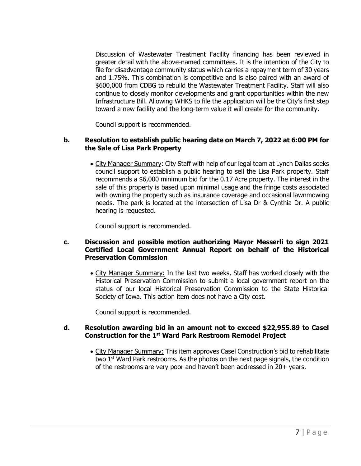Discussion of Wastewater Treatment Facility financing has been reviewed in greater detail with the above-named committees. It is the intention of the City to file for disadvantage community status which carries a repayment term of 30 years and 1.75%. This combination is competitive and is also paired with an award of \$600,000 from CDBG to rebuild the Wastewater Treatment Facility. Staff will also continue to closely monitor developments and grant opportunities within the new Infrastructure Bill. Allowing WHKS to file the application will be the City's first step toward a new facility and the long-term value it will create for the community.

Council support is recommended.

## **b. Resolution to establish public hearing date on March 7, 2022 at 6:00 PM for the Sale of Lisa Park Property**

• City Manager Summary: City Staff with help of our legal team at Lynch Dallas seeks council support to establish a public hearing to sell the Lisa Park property. Staff recommends a \$6,000 minimum bid for the 0.17 Acre property. The interest in the sale of this property is based upon minimal usage and the fringe costs associated with owning the property such as insurance coverage and occasional lawnmowing needs. The park is located at the intersection of Lisa Dr & Cynthia Dr. A public hearing is requested.

Council support is recommended.

### **c. Discussion and possible motion authorizing Mayor Messerli to sign 2021 Certified Local Government Annual Report on behalf of the Historical Preservation Commission**

• City Manager Summary: In the last two weeks, Staff has worked closely with the Historical Preservation Commission to submit a local government report on the status of our local Historical Preservation Commission to the State Historical Society of Iowa. This action item does not have a City cost.

Council support is recommended.

### **d. Resolution awarding bid in an amount not to exceed \$22,955.89 to Casel Construction for the 1st Ward Park Restroom Remodel Project**

• City Manager Summary: This item approves Casel Construction's bid to rehabilitate two  $1<sup>st</sup>$  Ward Park restrooms. As the photos on the next page signals, the condition of the restrooms are very poor and haven't been addressed in 20+ years.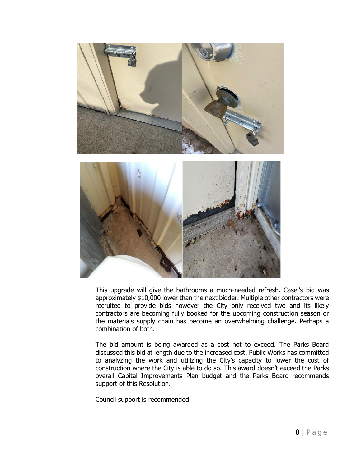

This upgrade will give the bathrooms a much-needed refresh. Casel's bid was approximately \$10,000 lower than the next bidder. Multiple other contractors were recruited to provide bids however the City only received two and its likely contractors are becoming fully booked for the upcoming construction season or the materials supply chain has become an overwhelming challenge. Perhaps a combination of both.

The bid amount is being awarded as a cost not to exceed. The Parks Board discussed this bid at length due to the increased cost. Public Works has committed to analyzing the work and utilizing the City's capacity to lower the cost of construction where the City is able to do so. This award doesn't exceed the Parks overall Capital Improvements Plan budget and the Parks Board recommends support of this Resolution.

Council support is recommended.